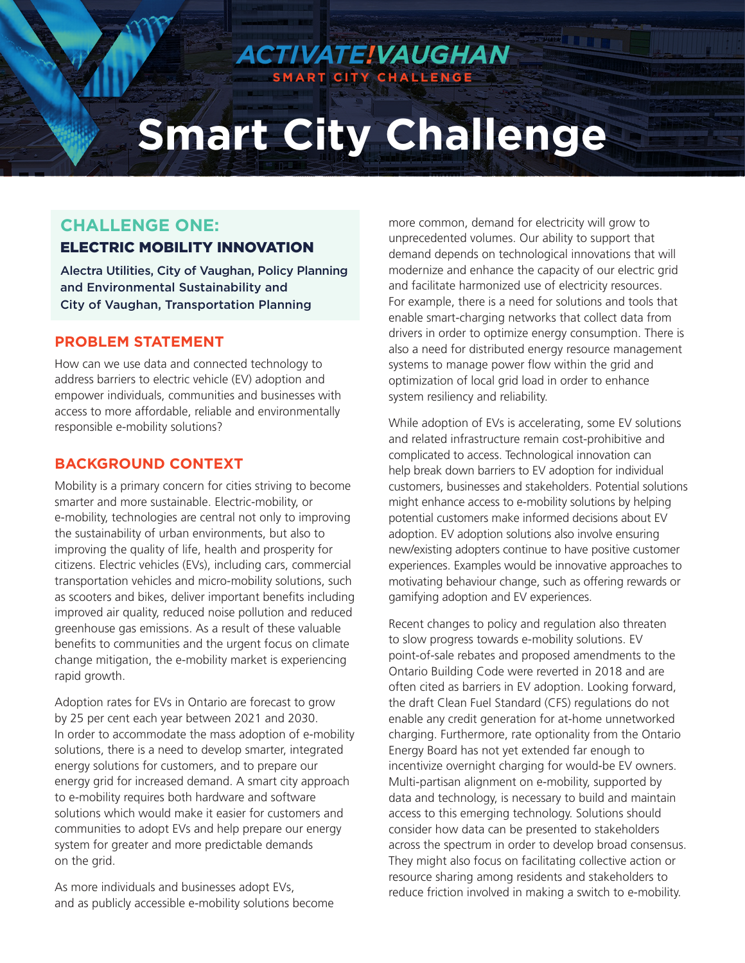# **Smart City Challenge**

*ACTIVATE!VAUGHAN* **SMART CITY CHALLENGE**

# **CHALLENGE ONE:**

## ELECTRIC MOBILITY INNOVATION

Alectra Utilities, City of Vaughan, Policy Planning and Environmental Sustainability and City of Vaughan, Transportation Planning

#### **PROBLEM STATEMENT**

How can we use data and connected technology to address barriers to electric vehicle (EV) adoption and empower individuals, communities and businesses with access to more affordable, reliable and environmentally responsible e-mobility solutions?

## **BACKGROUND CONTEXT**

Mobility is a primary concern for cities striving to become smarter and more sustainable. Electric-mobility, or e-mobility, technologies are central not only to improving the sustainability of urban environments, but also to improving the quality of life, health and prosperity for citizens. Electric vehicles (EVs), including cars, commercial transportation vehicles and micro-mobility solutions, such as scooters and bikes, deliver important benefits including improved air quality, reduced noise pollution and reduced greenhouse gas emissions. As a result of these valuable benefits to communities and the urgent focus on climate change mitigation, the e-mobility market is experiencing rapid growth.

Adoption rates for EVs in Ontario are forecast to grow by 25 per cent each year between 2021 and 2030. In order to accommodate the mass adoption of e-mobility solutions, there is a need to develop smarter, integrated energy solutions for customers, and to prepare our energy grid for increased demand. A smart city approach to e-mobility requires both hardware and software solutions which would make it easier for customers and communities to adopt EVs and help prepare our energy system for greater and more predictable demands on the grid.

As more individuals and businesses adopt EVs, and as publicly accessible e-mobility solutions become more common, demand for electricity will grow to unprecedented volumes. Our ability to support that demand depends on technological innovations that will modernize and enhance the capacity of our electric grid and facilitate harmonized use of electricity resources. For example, there is a need for solutions and tools that enable smart-charging networks that collect data from drivers in order to optimize energy consumption. There is also a need for distributed energy resource management systems to manage power flow within the grid and optimization of local grid load in order to enhance system resiliency and reliability.

While adoption of EVs is accelerating, some EV solutions and related infrastructure remain cost-prohibitive and complicated to access. Technological innovation can help break down barriers to EV adoption for individual customers, businesses and stakeholders. Potential solutions might enhance access to e-mobility solutions by helping potential customers make informed decisions about EV adoption. EV adoption solutions also involve ensuring new/existing adopters continue to have positive customer experiences. Examples would be innovative approaches to motivating behaviour change, such as offering rewards or gamifying adoption and EV experiences.

Recent changes to policy and regulation also threaten to slow progress towards e-mobility solutions. EV point-of-sale rebates and proposed amendments to the Ontario Building Code were reverted in 2018 and are often cited as barriers in EV adoption. Looking forward, the draft Clean Fuel Standard (CFS) regulations do not enable any credit generation for at-home unnetworked charging. Furthermore, rate optionality from the Ontario Energy Board has not yet extended far enough to incentivize overnight charging for would-be EV owners. Multi-partisan alignment on e-mobility, supported by data and technology, is necessary to build and maintain access to this emerging technology. Solutions should consider how data can be presented to stakeholders across the spectrum in order to develop broad consensus. They might also focus on facilitating collective action or resource sharing among residents and stakeholders to reduce friction involved in making a switch to e-mobility.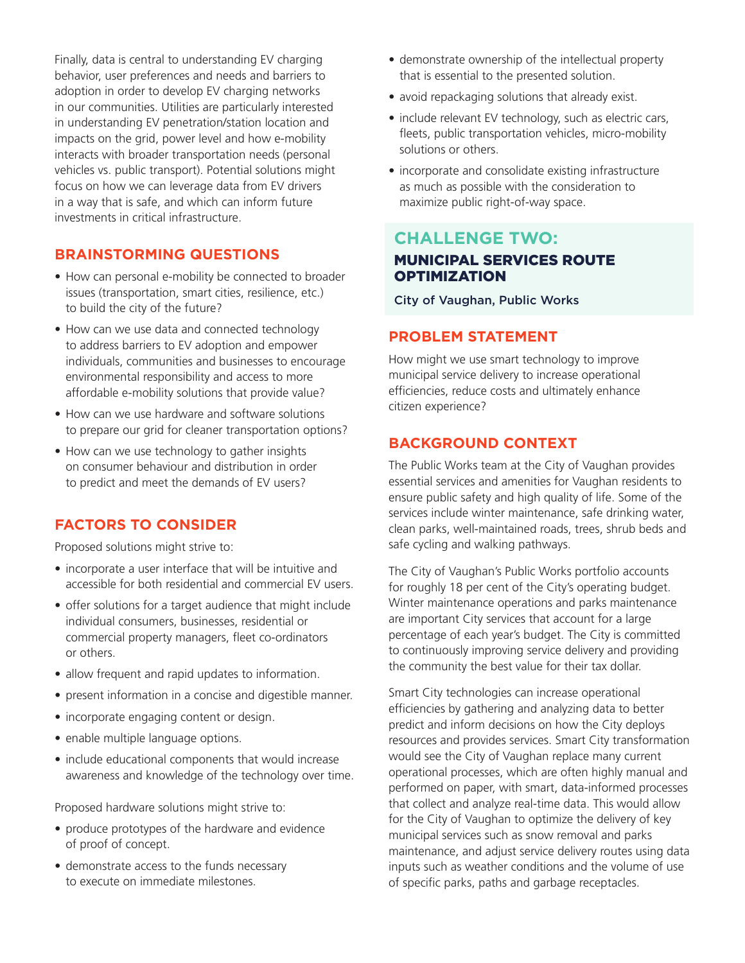Finally, data is central to understanding EV charging behavior, user preferences and needs and barriers to adoption in order to develop EV charging networks in our communities. Utilities are particularly interested in understanding EV penetration/station location and impacts on the grid, power level and how e-mobility interacts with broader transportation needs (personal vehicles vs. public transport). Potential solutions might focus on how we can leverage data from EV drivers in a way that is safe, and which can inform future investments in critical infrastructure.

## **BRAINSTORMING QUESTIONS**

- How can personal e-mobility be connected to broader issues (transportation, smart cities, resilience, etc.) to build the city of the future?
- How can we use data and connected technology to address barriers to EV adoption and empower individuals, communities and businesses to encourage environmental responsibility and access to more affordable e-mobility solutions that provide value?
- How can we use hardware and software solutions to prepare our grid for cleaner transportation options?
- How can we use technology to gather insights on consumer behaviour and distribution in order to predict and meet the demands of EV users?

## **FACTORS TO CONSIDER**

Proposed solutions might strive to:

- incorporate a user interface that will be intuitive and accessible for both residential and commercial EV users.
- offer solutions for a target audience that might include individual consumers, businesses, residential or commercial property managers, fleet co-ordinators or others.
- allow frequent and rapid updates to information.
- present information in a concise and digestible manner.
- incorporate engaging content or design.
- enable multiple language options.
- include educational components that would increase awareness and knowledge of the technology over time.

Proposed hardware solutions might strive to:

- produce prototypes of the hardware and evidence of proof of concept.
- demonstrate access to the funds necessary to execute on immediate milestones.
- demonstrate ownership of the intellectual property that is essential to the presented solution.
- avoid repackaging solutions that already exist.
- include relevant EV technology, such as electric cars, fleets, public transportation vehicles, micro-mobility solutions or others.
- incorporate and consolidate existing infrastructure as much as possible with the consideration to maximize public right-of-way space.

## **CHALLENGE TWO:**  MUNICIPAL SERVICES ROUTE **OPTIMIZATION**

City of Vaughan, Public Works

## **PROBLEM STATEMENT**

How might we use smart technology to improve municipal service delivery to increase operational efficiencies, reduce costs and ultimately enhance citizen experience?

## **BACKGROUND CONTEXT**

The Public Works team at the City of Vaughan provides essential services and amenities for Vaughan residents to ensure public safety and high quality of life. Some of the services include winter maintenance, safe drinking water, clean parks, well-maintained roads, trees, shrub beds and safe cycling and walking pathways.

The City of Vaughan's Public Works portfolio accounts for roughly 18 per cent of the City's operating budget. Winter maintenance operations and parks maintenance are important City services that account for a large percentage of each year's budget. The City is committed to continuously improving service delivery and providing the community the best value for their tax dollar.

Smart City technologies can increase operational efficiencies by gathering and analyzing data to better predict and inform decisions on how the City deploys resources and provides services. Smart City transformation would see the City of Vaughan replace many current operational processes, which are often highly manual and performed on paper, with smart, data-informed processes that collect and analyze real-time data. This would allow for the City of Vaughan to optimize the delivery of key municipal services such as snow removal and parks maintenance, and adjust service delivery routes using data inputs such as weather conditions and the volume of use of specific parks, paths and garbage receptacles.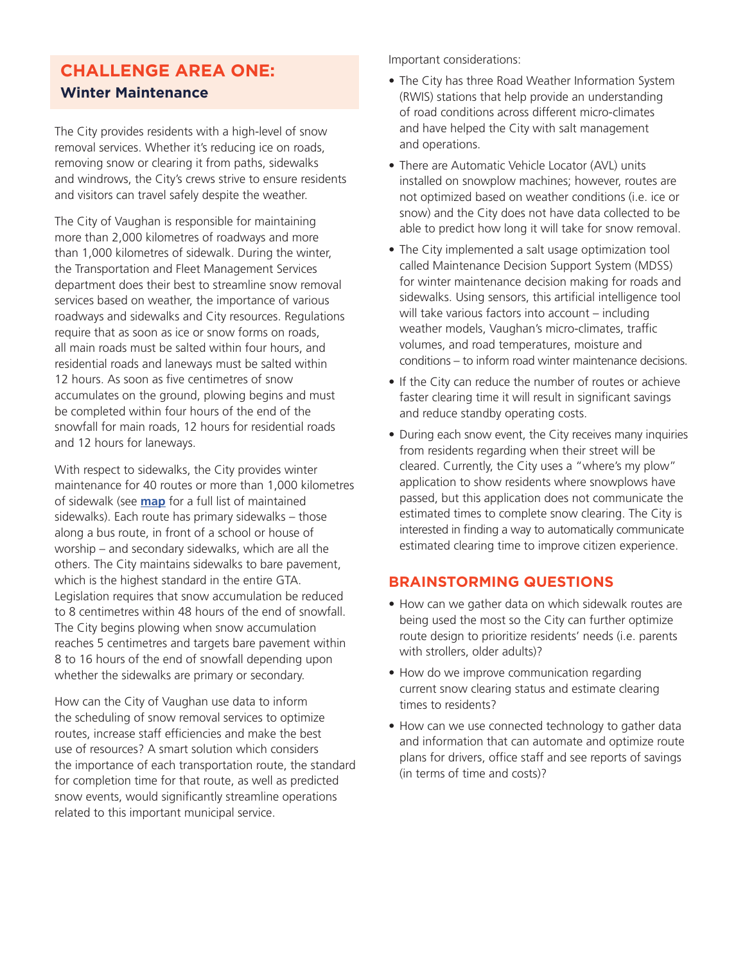# **CHALLENGE AREA ONE:**

## **Winter Maintenance**

The City provides residents with a high-level of snow removal services. Whether it's reducing ice on roads, removing snow or clearing it from paths, sidewalks and windrows, the City's crews strive to ensure residents and visitors can travel safely despite the weather.

The City of Vaughan is responsible for maintaining more than 2,000 kilometres of roadways and more than 1,000 kilometres of sidewalk. During the winter, the Transportation and Fleet Management Services department does their best to streamline snow removal services based on weather, the importance of various roadways and sidewalks and City resources. Regulations require that as soon as ice or snow forms on roads, all main roads must be salted within four hours, and residential roads and laneways must be salted within 12 hours. As soon as five centimetres of snow accumulates on the ground, plowing begins and must be completed within four hours of the end of the snowfall for main roads, 12 hours for residential roads and 12 hours for laneways.

With respect to sidewalks, the City provides winter maintenance for 40 routes or more than 1,000 kilometres of sidewalk (see **map** for a full list of maintained sidewalks). Each route has primary sidewalks – those along a bus route, in front of a school or house of worship – and secondary sidewalks, which are all the others. The City maintains sidewalks to bare pavement, which is the highest standard in the entire GTA. Legislation requires that snow accumulation be reduced to 8 centimetres within 48 hours of the end of snowfall. The City begins plowing when snow accumulation reaches 5 centimetres and targets bare pavement within 8 to 16 hours of the end of snowfall depending upon whether the sidewalks are primary or secondary.

How can the City of Vaughan use data to inform the scheduling of snow removal services to optimize routes, increase staff efficiencies and make the best use of resources? A smart solution which considers the importance of each transportation route, the standard for completion time for that route, as well as predicted snow events, would significantly streamline operations related to this important municipal service.

Important considerations:

- The City has three Road Weather Information System (RWIS) stations that help provide an understanding of road conditions across different micro-climates and have helped the City with salt management and operations.
- There are Automatic Vehicle Locator (AVL) units installed on snowplow machines; however, routes are not optimized based on weather conditions (i.e. ice or snow) and the City does not have data collected to be able to predict how long it will take for snow removal.
- The City implemented a salt usage optimization tool called Maintenance Decision Support System (MDSS) for winter maintenance decision making for roads and sidewalks. Using sensors, this artificial intelligence tool will take various factors into account – including weather models, Vaughan's micro-climates, traffic volumes, and road temperatures, moisture and conditions – to inform road winter maintenance decisions.
- If the City can reduce the number of routes or achieve faster clearing time it will result in significant savings and reduce standby operating costs.
- During each snow event, the City receives many inquiries from residents regarding when their street will be cleared. Currently, the City uses a "where's my plow" application to show residents where snowplows have passed, but this application does not communicate the estimated times to complete snow clearing. The City is interested in finding a way to automatically communicate estimated clearing time to improve citizen experience.

## **BRAINSTORMING QUESTIONS**

- How can we gather data on which sidewalk routes are being used the most so the City can further optimize route design to prioritize residents' needs (i.e. parents with strollers, older adults)?
- How do we improve communication regarding current snow clearing status and estimate clearing times to residents?
- How can we use connected technology to gather data and information that can automate and optimize route plans for drivers, office staff and see reports of savings (in terms of time and costs)?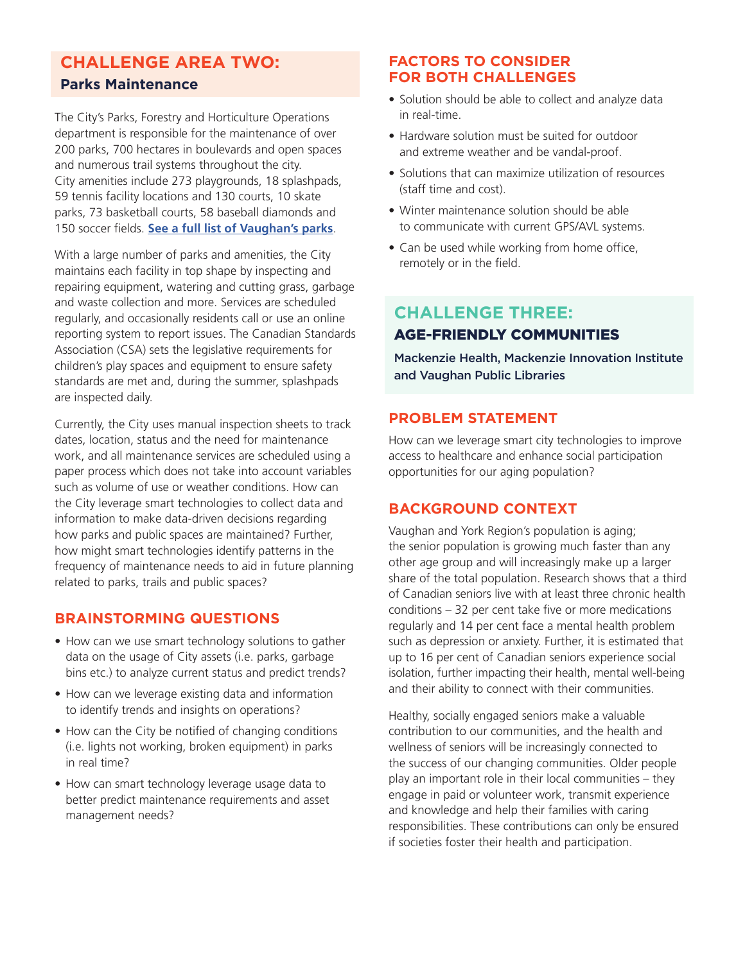# **CHALLENGE AREA TWO:**

## **Parks Maintenance**

The City's Parks, Forestry and Horticulture Operations department is responsible for the maintenance of over 200 parks, 700 hectares in boulevards and open spaces and numerous trail systems throughout the city. City amenities include 273 playgrounds, 18 splashpads, 59 tennis facility locations and 130 courts, 10 skate parks, 73 basketball courts, 58 baseball diamonds and 150 soccer fields. **See a full list of Vaughan's parks**.

With a large number of parks and amenities, the City maintains each facility in top shape by inspecting and repairing equipment, watering and cutting grass, garbage and waste collection and more. Services are scheduled regularly, and occasionally residents call or use an online reporting system to report issues. The Canadian Standards Association (CSA) sets the legislative requirements for children's play spaces and equipment to ensure safety standards are met and, during the summer, splashpads are inspected daily.

Currently, the City uses manual inspection sheets to track dates, location, status and the need for maintenance work, and all maintenance services are scheduled using a paper process which does not take into account variables such as volume of use or weather conditions. How can the City leverage smart technologies to collect data and information to make data-driven decisions regarding how parks and public spaces are maintained? Further, how might smart technologies identify patterns in the frequency of maintenance needs to aid in future planning related to parks, trails and public spaces?

## **BRAINSTORMING QUESTIONS**

- How can we use smart technology solutions to gather data on the usage of City assets (i.e. parks, garbage bins etc.) to analyze current status and predict trends?
- How can we leverage existing data and information to identify trends and insights on operations?
- How can the City be notified of changing conditions (i.e. lights not working, broken equipment) in parks in real time?
- How can smart technology leverage usage data to better predict maintenance requirements and asset management needs?

#### **FACTORS TO CONSIDER FOR BOTH CHALLENGES**

- Solution should be able to collect and analyze data in real-time.
- Hardware solution must be suited for outdoor and extreme weather and be vandal-proof.
- Solutions that can maximize utilization of resources (staff time and cost).
- Winter maintenance solution should be able to communicate with current GPS/AVL systems.
- Can be used while working from home office, remotely or in the field.

# **CHALLENGE THREE:**  AGE-FRIENDLY COMMUNITIES

Mackenzie Health, Mackenzie Innovation Institute and Vaughan Public Libraries

## **PROBLEM STATEMENT**

How can we leverage smart city technologies to improve access to healthcare and enhance social participation opportunities for our aging population?

## **BACKGROUND CONTEXT**

Vaughan and York Region's population is aging; the senior population is growing much faster than any other age group and will increasingly make up a larger share of the total population. Research shows that a third of Canadian seniors live with at least three chronic health conditions – 32 per cent take five or more medications regularly and 14 per cent face a mental health problem such as depression or anxiety. Further, it is estimated that up to 16 per cent of Canadian seniors experience social isolation, further impacting their health, mental well-being and their ability to connect with their communities.

Healthy, socially engaged seniors make a valuable contribution to our communities, and the health and wellness of seniors will be increasingly connected to the success of our changing communities. Older people play an important role in their local communities – they engage in paid or volunteer work, transmit experience and knowledge and help their families with caring responsibilities. These contributions can only be ensured if societies foster their health and participation.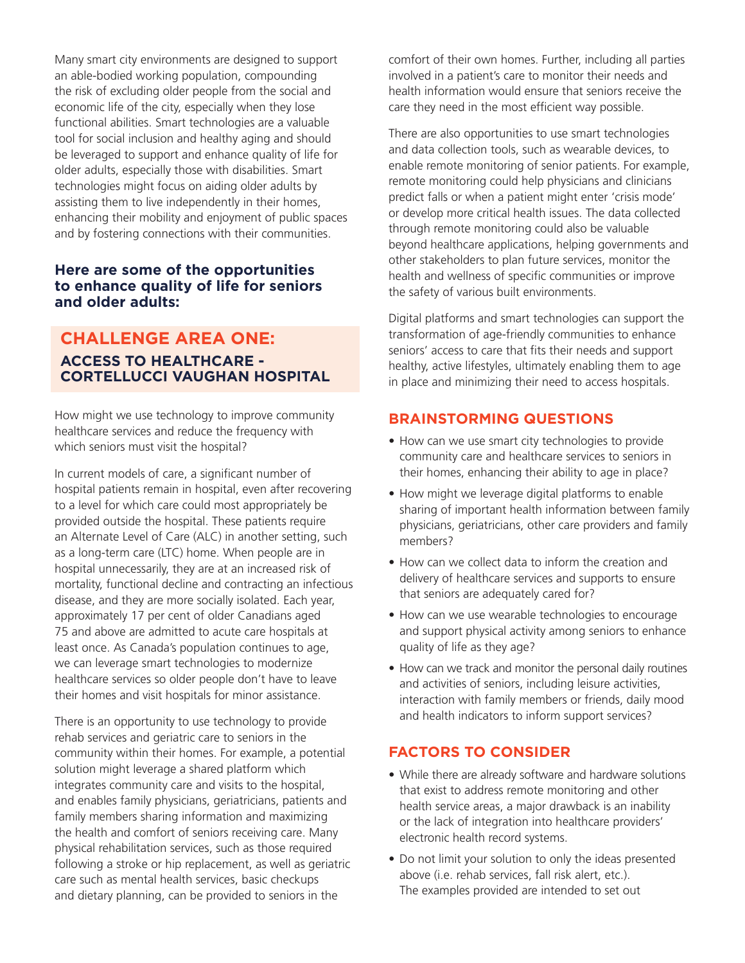Many smart city environments are designed to support an able-bodied working population, compounding the risk of excluding older people from the social and economic life of the city, especially when they lose functional abilities. Smart technologies are a valuable tool for social inclusion and healthy aging and should be leveraged to support and enhance quality of life for older adults, especially those with disabilities. Smart technologies might focus on aiding older adults by assisting them to live independently in their homes, enhancing their mobility and enjoyment of public spaces and by fostering connections with their communities.

#### **Here are some of the opportunities to enhance quality of life for seniors and older adults:**

## **CHALLENGE AREA ONE: ACCESS TO HEALTHCARE - CORTELLUCCI VAUGHAN HOSPITAL**

How might we use technology to improve community healthcare services and reduce the frequency with which seniors must visit the hospital?

In current models of care, a significant number of hospital patients remain in hospital, even after recovering to a level for which care could most appropriately be provided outside the hospital. These patients require an Alternate Level of Care (ALC) in another setting, such as a long-term care (LTC) home. When people are in hospital unnecessarily, they are at an increased risk of mortality, functional decline and contracting an infectious disease, and they are more socially isolated. Each year, approximately 17 per cent of older Canadians aged 75 and above are admitted to acute care hospitals at least once. As Canada's population continues to age, we can leverage smart technologies to modernize healthcare services so older people don't have to leave their homes and visit hospitals for minor assistance.

There is an opportunity to use technology to provide rehab services and geriatric care to seniors in the community within their homes. For example, a potential solution might leverage a shared platform which integrates community care and visits to the hospital, and enables family physicians, geriatricians, patients and family members sharing information and maximizing the health and comfort of seniors receiving care. Many physical rehabilitation services, such as those required following a stroke or hip replacement, as well as geriatric care such as mental health services, basic checkups and dietary planning, can be provided to seniors in the

comfort of their own homes. Further, including all parties involved in a patient's care to monitor their needs and health information would ensure that seniors receive the care they need in the most efficient way possible.

There are also opportunities to use smart technologies and data collection tools, such as wearable devices, to enable remote monitoring of senior patients. For example, remote monitoring could help physicians and clinicians predict falls or when a patient might enter 'crisis mode' or develop more critical health issues. The data collected through remote monitoring could also be valuable beyond healthcare applications, helping governments and other stakeholders to plan future services, monitor the health and wellness of specific communities or improve the safety of various built environments.

Digital platforms and smart technologies can support the transformation of age-friendly communities to enhance seniors' access to care that fits their needs and support healthy, active lifestyles, ultimately enabling them to age in place and minimizing their need to access hospitals.

## **BRAINSTORMING QUESTIONS**

- How can we use smart city technologies to provide community care and healthcare services to seniors in their homes, enhancing their ability to age in place?
- How might we leverage digital platforms to enable sharing of important health information between family physicians, geriatricians, other care providers and family members?
- How can we collect data to inform the creation and delivery of healthcare services and supports to ensure that seniors are adequately cared for?
- How can we use wearable technologies to encourage and support physical activity among seniors to enhance quality of life as they age?
- How can we track and monitor the personal daily routines and activities of seniors, including leisure activities, interaction with family members or friends, daily mood and health indicators to inform support services?

#### **FACTORS TO CONSIDER**

- While there are already software and hardware solutions that exist to address remote monitoring and other health service areas, a major drawback is an inability or the lack of integration into healthcare providers' electronic health record systems.
- Do not limit your solution to only the ideas presented above (i.e. rehab services, fall risk alert, etc.). The examples provided are intended to set out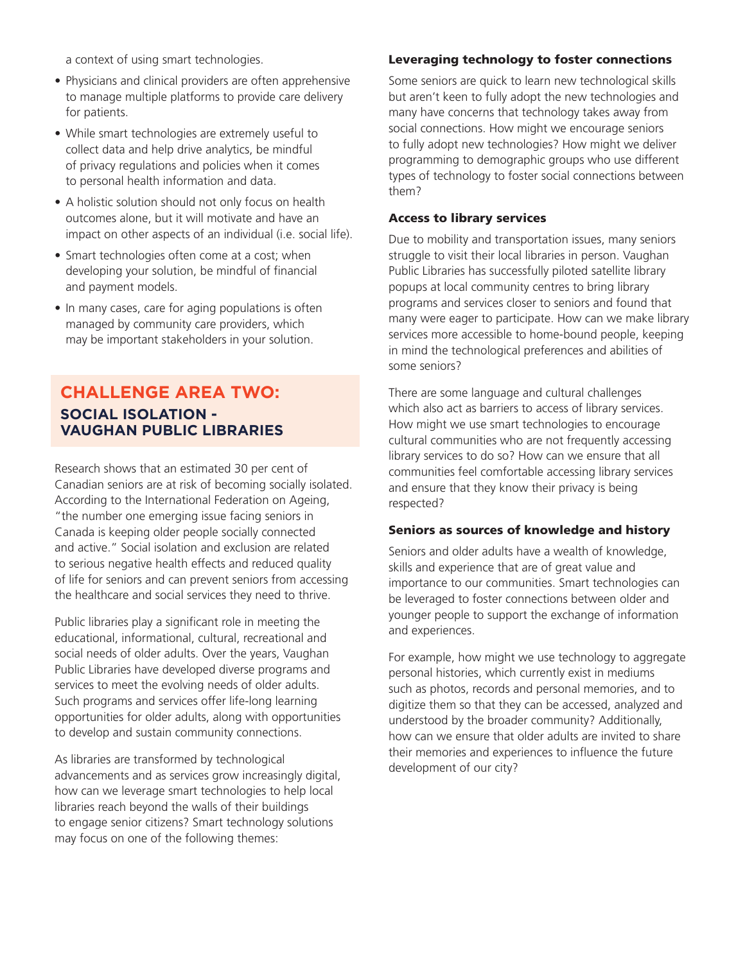a context of using smart technologies.

- Physicians and clinical providers are often apprehensive to manage multiple platforms to provide care delivery for patients.
- While smart technologies are extremely useful to collect data and help drive analytics, be mindful of privacy regulations and policies when it comes to personal health information and data.
- A holistic solution should not only focus on health outcomes alone, but it will motivate and have an impact on other aspects of an individual (i.e. social life).
- Smart technologies often come at a cost; when developing your solution, be mindful of financial and payment models.
- In many cases, care for aging populations is often managed by community care providers, which may be important stakeholders in your solution.

## **CHALLENGE AREA TWO: SOCIAL ISOLATION - VAUGHAN PUBLIC LIBRARIES**

Research shows that an estimated 30 per cent of Canadian seniors are at risk of becoming socially isolated. According to the International Federation on Ageing, "the number one emerging issue facing seniors in Canada is keeping older people socially connected and active." Social isolation and exclusion are related to serious negative health effects and reduced quality of life for seniors and can prevent seniors from accessing the healthcare and social services they need to thrive.

Public libraries play a significant role in meeting the educational, informational, cultural, recreational and social needs of older adults. Over the years, Vaughan Public Libraries have developed diverse programs and services to meet the evolving needs of older adults. Such programs and services offer life-long learning opportunities for older adults, along with opportunities to develop and sustain community connections.

As libraries are transformed by technological advancements and as services grow increasingly digital, how can we leverage smart technologies to help local libraries reach beyond the walls of their buildings to engage senior citizens? Smart technology solutions may focus on one of the following themes:

#### Leveraging technology to foster connections

Some seniors are quick to learn new technological skills but aren't keen to fully adopt the new technologies and many have concerns that technology takes away from social connections. How might we encourage seniors to fully adopt new technologies? How might we deliver programming to demographic groups who use different types of technology to foster social connections between them?

#### Access to library services

Due to mobility and transportation issues, many seniors struggle to visit their local libraries in person. Vaughan Public Libraries has successfully piloted satellite library popups at local community centres to bring library programs and services closer to seniors and found that many were eager to participate. How can we make library services more accessible to home-bound people, keeping in mind the technological preferences and abilities of some seniors?

There are some language and cultural challenges which also act as barriers to access of library services. How might we use smart technologies to encourage cultural communities who are not frequently accessing library services to do so? How can we ensure that all communities feel comfortable accessing library services and ensure that they know their privacy is being respected?

#### Seniors as sources of knowledge and history

Seniors and older adults have a wealth of knowledge, skills and experience that are of great value and importance to our communities. Smart technologies can be leveraged to foster connections between older and younger people to support the exchange of information and experiences.

For example, how might we use technology to aggregate personal histories, which currently exist in mediums such as photos, records and personal memories, and to digitize them so that they can be accessed, analyzed and understood by the broader community? Additionally, how can we ensure that older adults are invited to share their memories and experiences to influence the future development of our city?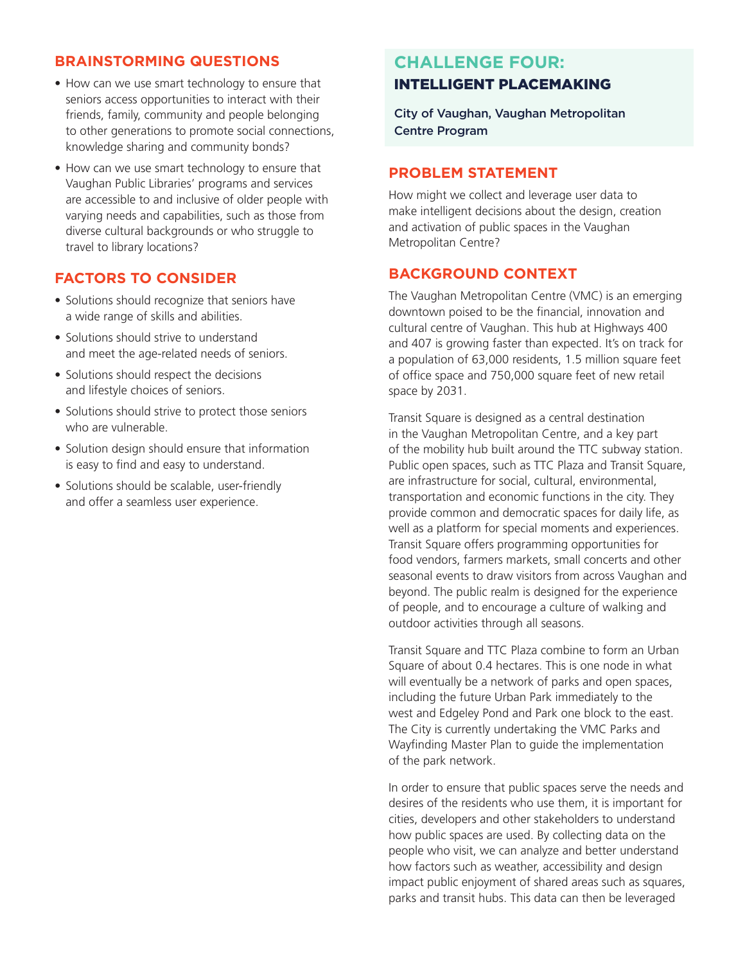#### **BRAINSTORMING QUESTIONS**

- How can we use smart technology to ensure that seniors access opportunities to interact with their friends, family, community and people belonging to other generations to promote social connections, knowledge sharing and community bonds?
- How can we use smart technology to ensure that Vaughan Public Libraries' programs and services are accessible to and inclusive of older people with varying needs and capabilities, such as those from diverse cultural backgrounds or who struggle to travel to library locations?

## **FACTORS TO CONSIDER**

- Solutions should recognize that seniors have a wide range of skills and abilities.
- Solutions should strive to understand and meet the age-related needs of seniors.
- Solutions should respect the decisions and lifestyle choices of seniors.
- Solutions should strive to protect those seniors who are vulnerable.
- Solution design should ensure that information is easy to find and easy to understand.
- Solutions should be scalable, user-friendly and offer a seamless user experience.

## **CHALLENGE FOUR:**  INTELLIGENT PLACEMAKING

City of Vaughan, Vaughan Metropolitan Centre Program

#### **PROBLEM STATEMENT**

How might we collect and leverage user data to make intelligent decisions about the design, creation and activation of public spaces in the Vaughan Metropolitan Centre?

#### **BACKGROUND CONTEXT**

The Vaughan Metropolitan Centre (VMC) is an emerging downtown poised to be the financial, innovation and cultural centre of Vaughan. This hub at Highways 400 and 407 is growing faster than expected. It's on track for a population of 63,000 residents, 1.5 million square feet of office space and 750,000 square feet of new retail space by 2031.

Transit Square is designed as a central destination in the Vaughan Metropolitan Centre, and a key part of the mobility hub built around the TTC subway station. Public open spaces, such as TTC Plaza and Transit Square, are infrastructure for social, cultural, environmental, transportation and economic functions in the city. They provide common and democratic spaces for daily life, as well as a platform for special moments and experiences. Transit Square offers programming opportunities for food vendors, farmers markets, small concerts and other seasonal events to draw visitors from across Vaughan and beyond. The public realm is designed for the experience of people, and to encourage a culture of walking and outdoor activities through all seasons.

Transit Square and TTC Plaza combine to form an Urban Square of about 0.4 hectares. This is one node in what will eventually be a network of parks and open spaces, including the future Urban Park immediately to the west and Edgeley Pond and Park one block to the east. The City is currently undertaking the VMC Parks and Wayfinding Master Plan to guide the implementation of the park network.

In order to ensure that public spaces serve the needs and desires of the residents who use them, it is important for cities, developers and other stakeholders to understand how public spaces are used. By collecting data on the people who visit, we can analyze and better understand how factors such as weather, accessibility and design impact public enjoyment of shared areas such as squares, parks and transit hubs. This data can then be leveraged